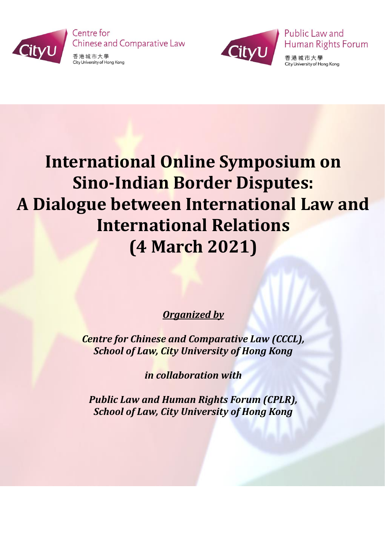

Centre for **Chinese and Comparative Law** 

香港城市大學 City University of Hong Kong



香港城市大學 City University of Hong Kong

Human Rights Forum

Public Law and

## **International Online Symposium on Sino-Indian Border Disputes: A Dialogue between International Law and International Relations (4 March 2021)**

## *Organized by*

*Centre for Chinese and Comparative Law (CCCL), School of Law, City University of Hong Kong*

*in collaboration with*

*Public Law and Human Rights Forum (CPLR), School of Law, City University of Hong Kong*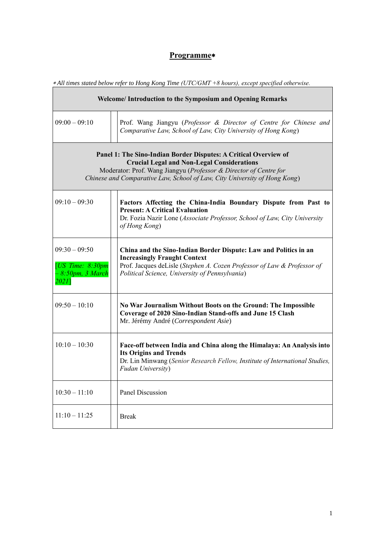1

Ť

## **Programme**

*All times stated below refer to Hong Kong Time (UTC/GMT +8 hours), except specified otherwise.* 

| Welcome/Introduction to the Symposium and Opening Remarks                                                                                                                                                                                                               |                                                                                                                                                                                                                                      |  |  |
|-------------------------------------------------------------------------------------------------------------------------------------------------------------------------------------------------------------------------------------------------------------------------|--------------------------------------------------------------------------------------------------------------------------------------------------------------------------------------------------------------------------------------|--|--|
| $09:00 - 09:10$                                                                                                                                                                                                                                                         | Prof. Wang Jiangyu (Professor & Director of Centre for Chinese and<br>Comparative Law, School of Law, City University of Hong Kong)                                                                                                  |  |  |
| Panel 1: The Sino-Indian Border Disputes: A Critical Overview of<br><b>Crucial Legal and Non-Legal Considerations</b><br>Moderator: Prof. Wang Jiangyu (Professor & Director of Centre for<br>Chinese and Comparative Law, School of Law, City University of Hong Kong) |                                                                                                                                                                                                                                      |  |  |
| $09:10 - 09:30$                                                                                                                                                                                                                                                         | Factors Affecting the China-India Boundary Dispute from Past to<br><b>Present: A Critical Evaluation</b><br>Dr. Fozia Nazir Lone (Associate Professor, School of Law, City University<br>of Hong Kong)                               |  |  |
| $09:30 - 09:50$<br>[ $US$ Time: $8:30pm$<br>8:50pm, 3 March<br>2021                                                                                                                                                                                                     | China and the Sino-Indian Border Dispute: Law and Politics in an<br><b>Increasingly Fraught Context</b><br>Prof. Jacques deLisle (Stephen A. Cozen Professor of Law & Professor of<br>Political Science, University of Pennsylvania) |  |  |
| $09:50 - 10:10$                                                                                                                                                                                                                                                         | No War Journalism Without Boots on the Ground: The Impossible<br>Coverage of 2020 Sino-Indian Stand-offs and June 15 Clash<br>Mr. Jérémy André (Correspondent Asie)                                                                  |  |  |
| $10:10 - 10:30$                                                                                                                                                                                                                                                         | Face-off between India and China along the Himalaya: An Analysis into<br><b>Its Origins and Trends</b><br>Dr. Lin Minwang (Senior Research Fellow, Institute of International Studies,<br><b>Fudan University</b> )                  |  |  |
| $10:30 - 11:10$                                                                                                                                                                                                                                                         | <b>Panel Discussion</b>                                                                                                                                                                                                              |  |  |

| $11 \cdot 10 =$<br>11.25<br>11.10<br>11.22 | <b>Break</b> |
|--------------------------------------------|--------------|
|                                            |              |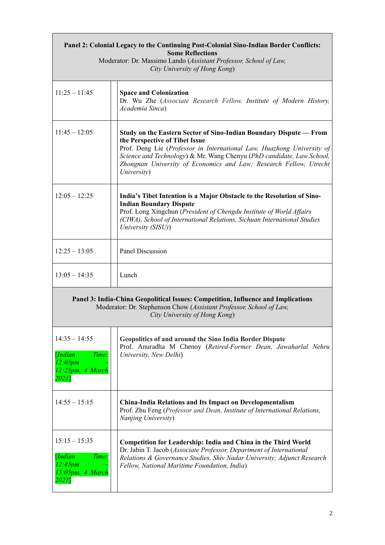| Panel 2: Colonial Legacy to the Continuing Post-Colonial Sino-Indian Border Conflicts:<br><b>Some Reflections</b><br>Moderator: Dr. Massimo Lando (Assistant Professor, School of Law,<br>City University of Hong Kong) |                                                                                                                                                                                                                                                                                                                                              |  |  |  |
|-------------------------------------------------------------------------------------------------------------------------------------------------------------------------------------------------------------------------|----------------------------------------------------------------------------------------------------------------------------------------------------------------------------------------------------------------------------------------------------------------------------------------------------------------------------------------------|--|--|--|
| $11:25 - 11:45$                                                                                                                                                                                                         | <b>Space and Colonization</b><br>Dr. Wu Zhe (Associate Research Fellow, Institute of Modern History,<br>Academia Sinca)                                                                                                                                                                                                                      |  |  |  |
| $11:45 - 12:05$                                                                                                                                                                                                         | Study on the Eastern Sector of Sino-Indian Boundary Dispute — From<br>the Perspective of Tibet Issue<br>Prof. Deng Lie (Professor in International Law, Huazhong University of<br>Science and Technology) & Mr. Wang Chenyu (PhD candidate, Law School,<br>Zhongnan University of Economics and Law; Research Fellow, Utrecht<br>University) |  |  |  |
| $12:05 - 12:25$                                                                                                                                                                                                         | India's Tibet Intention is a Major Obstacle to the Resolution of Sino-<br><b>Indian Boundary Dispute</b><br>Prof. Long Xingchun (President of Chengdu Institute of World Affairs<br>(CIWA), School of International Relations, Sichuan International Studies<br>University (SISU))                                                           |  |  |  |
| $12:25 - 13:05$                                                                                                                                                                                                         | <b>Panel Discussion</b>                                                                                                                                                                                                                                                                                                                      |  |  |  |
| $13:05 - 14:35$                                                                                                                                                                                                         | Lunch                                                                                                                                                                                                                                                                                                                                        |  |  |  |
| Panel 3: India-China Geopolitical Issues: Competition, Influence and Implications<br>Moderator: Dr. Stephenson Chow (Assistant Professor, School of Law,<br>City University of Hong Kong)                               |                                                                                                                                                                                                                                                                                                                                              |  |  |  |
| $14:35 - 14:55$<br>[Indian]<br>Time:<br>12:05pm<br>12:25pm, 4 March<br>2021]                                                                                                                                            | <b>Geopolitics of and around the Sino India Border Dispute</b><br>Prof. Anuradha M Chenoy (Retired-Former Dean, Jawaharlal Nehru<br>University, New Delhi)                                                                                                                                                                                   |  |  |  |
| $14:55 - 15:15$                                                                                                                                                                                                         | <b>China-India Relations and Its Impact on Developmentalism</b><br>Prof. Zhu Feng (Professor and Dean, Institute of International Relations,<br>Nanjing University)                                                                                                                                                                          |  |  |  |
| $15:15 - 15:35$<br>Time:<br>[Indian]<br>12:45pm<br>13:05pm, 4 March<br>2021]                                                                                                                                            | <b>Competition for Leadership: India and China in the Third World</b><br>Dr. Jabin T. Jacob (Associate Professor, Department of International<br>Relations & Governance Studies, Shiv Nadar University; Adjunct Research<br>Fellow, National Maritime Foundation, India)                                                                     |  |  |  |